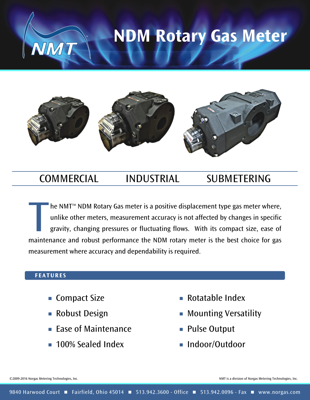#### **NDM Rotary Gas Meter**



#### COMMERCIAL INDUSTRIAL SUBMETERING

The NMT<sup>M</sup> NDM Rotary Gas meter is a positive displacement type gas meter where, unlike other meters, measurement accuracy is not affected by changes in specific gravity, changing pressures or fluctuating flows. With its c he NMT<sup>™</sup> NDM Rotary Gas meter is a positive displacement type gas meter where, unlike other meters, measurement accuracy is not affected by changes in specific gravity, changing pressures or fluctuating flows. With its compact size, ease of measurement where accuracy and dependability is required.

#### **F EATURE S**

 $\blacksquare$  Compact Size

TM

TM

- Robust Design n
- $\blacksquare$  Ease of Maintenance
- **100% Sealed Index**
- $\blacksquare$  Rotatable Index
- $\blacksquare$  Mounting Versatility
- Pulse Output
- Indoor/Outdoor

©2009-2016 Norgas Metering Technologies, Inc. NMT is a division of Norgas Metering Technologies, Inc.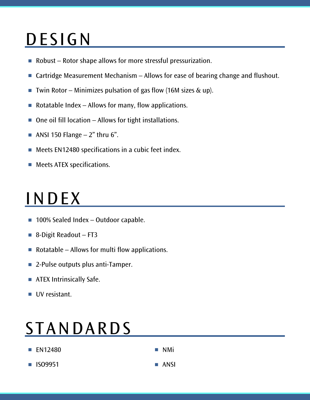# **DESIGN**

- Robust Rotor shape allows for more stressful pressurization.
- $\blacksquare$  Cartridge Measurement Mechanism Allows for ease of bearing change and flushout.
- $\blacksquare$  Twin Rotor Minimizes pulsation of gas flow (16M sizes & up).
- $\blacksquare$  Rotatable Index  $-$  Allows for many, flow applications.
- $\blacksquare$  One oil fill location Allows for tight installations.
- $\blacksquare$  ANSI 150 Flange  $-2$ " thru 6".
- $\blacksquare$  Meets EN12480 specifications in a cubic feet index.
- Meets ATEX specifications.

## INDEX

- $\blacksquare$  100% Sealed Index Outdoor capable.
- 8-Digit Readout FT3
- $\blacksquare$  Rotatable Allows for multi flow applications.
- 2-Pulse outputs plus anti-Tamper.
- ATEX Intrinsically Safe.
- UV resistant.

#### **STANDARDS**

| <b>EN12480</b> | $\blacksquare$ NMi  |
|----------------|---------------------|
| <b>1509951</b> | $\blacksquare$ ANSI |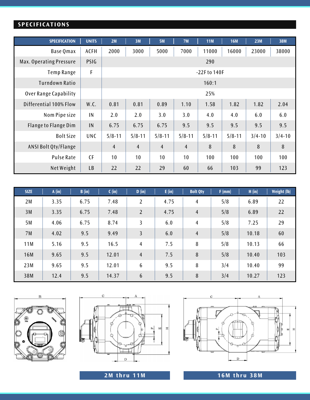#### **SPE C I F I CAT IONS**

| <b>SPECIFICATION</b>    | <b>UNITS</b> | 2M             | 3M              | <b>5M</b>      | 7M             | <b>11M</b> | <b>16M</b> | 23M        | <b>38M</b>     |
|-------------------------|--------------|----------------|-----------------|----------------|----------------|------------|------------|------------|----------------|
| <b>Base Qmax</b>        | <b>ACFH</b>  | 2000           | 3000            | 5000           | 7000           | 11000      | 16000      | 23000      | 38000          |
| Max. Operating Pressure | PSIG         |                | 290             |                |                |            |            |            |                |
| Temp Range              | F            |                | $-22$ F to 140F |                |                |            |            |            |                |
| <b>Turndown Ratio</b>   |              | 160:1          |                 |                |                |            |            |            |                |
| Over Range Capability   |              | 25%            |                 |                |                |            |            |            |                |
| Differential 100% Flow  | W.C.         | 0.81           | 0.81            | 0.89           | 1.10           | 1.58       | 1.82       | 1.82       | 2.04           |
| Nom Pipe size           | IN           | 2.0            | 2.0             | 3.0            | 3.0            | 4.0        | 4.0        | 6.0        | 6.0            |
| Flange to Flange Dim    | IN           | 6.75           | 6.75            | 6.75           | 9.5            | 9.5        | 9.5        | 9.5        | 9.5            |
| <b>Bolt Size</b>        | <b>UNC</b>   | $5/8 - 11$     | $5/8 - 11$      | $5/8 - 11$     | $5/8 - 11$     | $5/8 - 11$ | $5/8 - 11$ | $3/4 - 10$ | $3/4 - 10$     |
| ANSI Bolt Qty/Flange    |              | $\overline{4}$ | $\overline{4}$  | $\overline{4}$ | $\overline{4}$ | 8          | 8          | 8          | $8\phantom{1}$ |
| <b>Pulse Rate</b>       | <b>CF</b>    | 10             | 10 <sup>°</sup> | 10             | 10             | 100        | 100        | 100        | 100            |
| Net Weight              | <b>LB</b>    | 22             | 22              | 29             | 60             | 66         | 103        | 99         | 123            |

| <b>SIZE</b> | A(in) | B (in) | C (in) | D (in)          | E(in) | <b>Bolt Qty</b> | $F$ (mm) | H (in) | <b>Weight (lb)</b> |
|-------------|-------|--------|--------|-----------------|-------|-----------------|----------|--------|--------------------|
| 2M          | 3.35  | 6.75   | 7.48   | 2               | 4.75  | 4               | 5/8      | 6.89   | 22                 |
| 3M          | 3.35  | 6.75   | 7.48   | $\overline{2}$  | 4.75  | $\overline{4}$  | 5/8      | 6.89   | 22                 |
| 5M          | 4.06  | 6.75   | 8.74   | 3               | 6.0   | $\overline{4}$  | 5/8      | 7.25   | 29                 |
| 7M          | 4.02  | 9.5    | 9.49   | $\overline{3}$  | 6.0   | $\overline{4}$  | 5/8      | 10.18  | 60                 |
| 11M         | 5.16  | 9.5    | 16.5   | $\overline{4}$  | 7.5   | 8               | 5/8      | 10.13  | 66                 |
| <b>16M</b>  | 9.65  | 9.5    | 12.01  | $\overline{4}$  | 7.5   | 8               | 5/8      | 10.40  | 103                |
| 23M         | 9.65  | 9.5    | 12.01  | $6\phantom{.}6$ | 9.5   | 8               | 3/4      | 10.40  | 99                 |
| 38M         | 12.4  | 9.5    | 14.37  | $6\phantom{.}6$ | 9.5   | 8               | 3/4      | 10.27  | 123                |







**2M thru 1 1M 1 6M thru 3 8M**